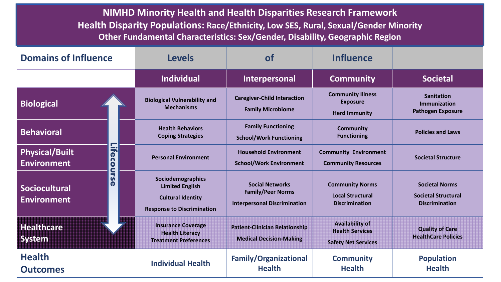**NIMHD Minority Health and Health Disparities Research Framework Health Disparity Populations: Race/Ethnicity, Low SES, Rural, Sexual/Gender Minority Other Fundamental Characteristics: Sex/Gender, Disability, Geographic Region** 

| <b>Domains of Influence</b>                                       | <b>Levels</b>                                                                                                | $\mathbf{of}$                                                                             | <b>Influence</b>                                                               |                                                                              |
|-------------------------------------------------------------------|--------------------------------------------------------------------------------------------------------------|-------------------------------------------------------------------------------------------|--------------------------------------------------------------------------------|------------------------------------------------------------------------------|
|                                                                   | <b>Individual</b>                                                                                            | Interpersonal                                                                             | <b>Community</b>                                                               | <b>Societal</b>                                                              |
| <b>Biological</b>                                                 | <b>Biological Vulnerability and</b><br><b>Mechanisms</b>                                                     | <b>Caregiver-Child Interaction</b><br><b>Family Microbiome</b>                            | <b>Community Illness</b><br><b>Exposure</b><br><b>Herd Immunity</b>            | <b>Sanitation</b><br><b>Immunization</b><br><b>Pathogen Exposure</b>         |
| <b>Behavioral</b>                                                 | <b>Health Behaviors</b><br><b>Coping Strategies</b>                                                          | <b>Family Functioning</b><br><b>School/Work Functioning</b>                               | <b>Community</b><br><b>Functioning</b>                                         | <b>Policies and Laws</b>                                                     |
| Life<br><b>Physical/Built</b><br>n<br><b>Environment</b>          | <b>Personal Environment</b>                                                                                  | <b>Household Environment</b><br><b>School/Work Environment</b>                            | <b>Community Environment</b><br><b>Community Resources</b>                     | <b>Societal Structure</b>                                                    |
| ours<br>$\mathbf 0$<br><b>Sociocultural</b><br><b>Environment</b> | Sociodemographics<br><b>Limited English</b><br><b>Cultural Identity</b><br><b>Response to Discrimination</b> | <b>Social Networks</b><br><b>Family/Peer Norms</b><br><b>Interpersonal Discrimination</b> | <b>Community Norms</b><br><b>Local Structural</b><br><b>Discrimination</b>     | <b>Societal Norms</b><br><b>Societal Structural</b><br><b>Discrimination</b> |
| <b>Healthcare</b><br><b>System</b>                                | <b>Insurance Coverage</b><br><b>Health Literacy</b><br><b>Treatment Preferences</b>                          | <b>Patient-Clinician Relationship</b><br><b>Medical Decision-Making</b>                   | <b>Availability of</b><br><b>Health Services</b><br><b>Safety Net Services</b> | <b>Quality of Care</b><br><b>HealthCare Policies</b>                         |
| <b>Health</b><br><b>Outcomes</b>                                  | <b>Individual Health</b>                                                                                     | <b>Family/Organizational</b><br><b>Health</b>                                             | <b>Community</b><br><b>Health</b>                                              | <b>Population</b><br><b>Health</b>                                           |